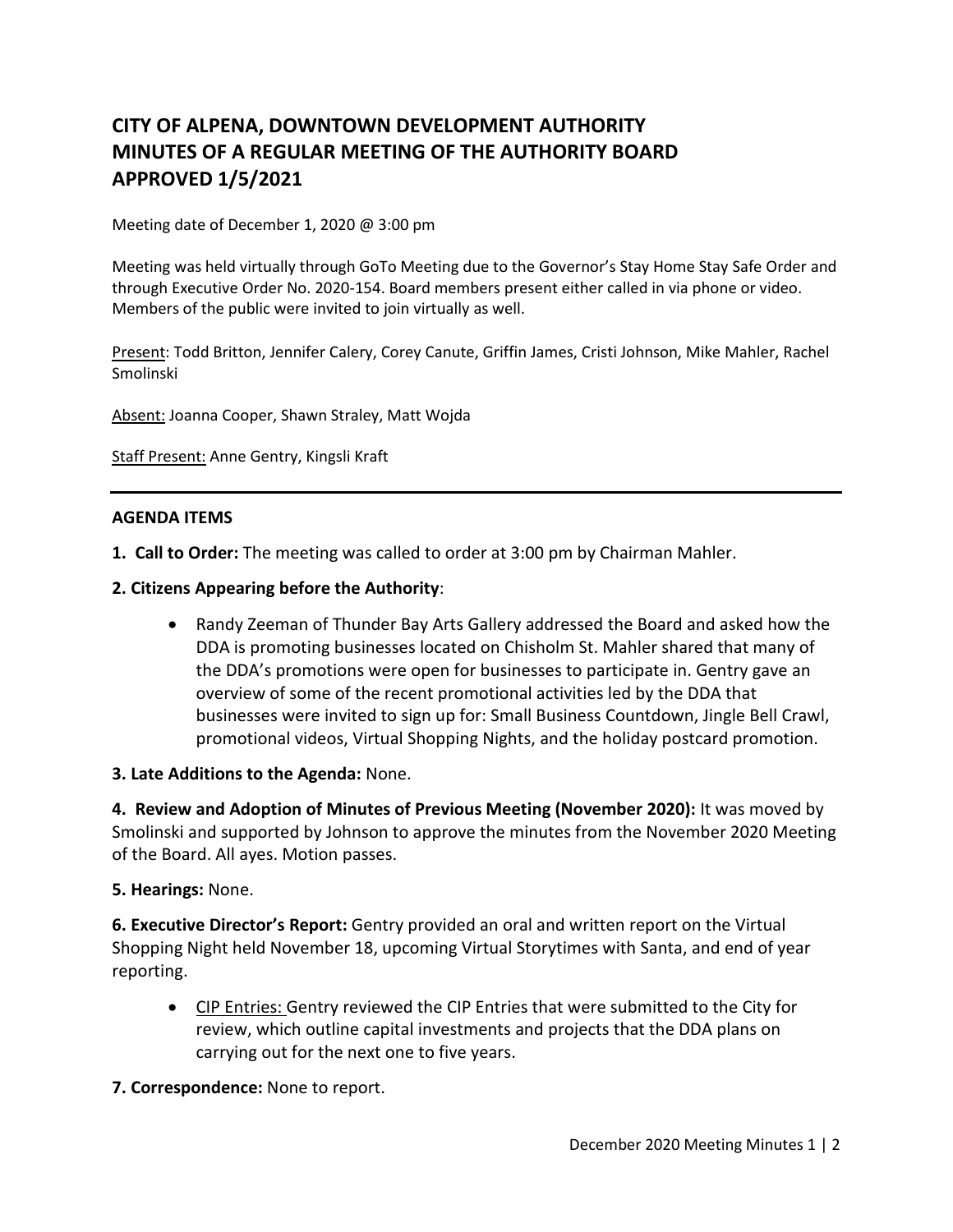# **CITY OF ALPENA, DOWNTOWN DEVELOPMENT AUTHORITY MINUTES OF A REGULAR MEETING OF THE AUTHORITY BOARD APPROVED 1/5/2021**

Meeting date of December 1, 2020 @ 3:00 pm

Meeting was held virtually through GoTo Meeting due to the Governor's Stay Home Stay Safe Order and through Executive Order No. 2020-154. Board members present either called in via phone or video. Members of the public were invited to join virtually as well.

Present: Todd Britton, Jennifer Calery, Corey Canute, Griffin James, Cristi Johnson, Mike Mahler, Rachel Smolinski

Absent: Joanna Cooper, Shawn Straley, Matt Wojda

Staff Present: Anne Gentry, Kingsli Kraft

#### **AGENDA ITEMS**

**1. Call to Order:** The meeting was called to order at 3:00 pm by Chairman Mahler.

- **2. Citizens Appearing before the Authority**:
	- Randy Zeeman of Thunder Bay Arts Gallery addressed the Board and asked how the DDA is promoting businesses located on Chisholm St. Mahler shared that many of the DDA's promotions were open for businesses to participate in. Gentry gave an overview of some of the recent promotional activities led by the DDA that businesses were invited to sign up for: Small Business Countdown, Jingle Bell Crawl, promotional videos, Virtual Shopping Nights, and the holiday postcard promotion.

#### **3. Late Additions to the Agenda:** None.

**4. Review and Adoption of Minutes of Previous Meeting (November 2020):** It was moved by Smolinski and supported by Johnson to approve the minutes from the November 2020 Meeting of the Board. All ayes. Motion passes.

#### **5. Hearings:** None.

**6. Executive Director's Report:** Gentry provided an oral and written report on the Virtual Shopping Night held November 18, upcoming Virtual Storytimes with Santa, and end of year reporting.

• CIP Entries: Gentry reviewed the CIP Entries that were submitted to the City for review, which outline capital investments and projects that the DDA plans on carrying out for the next one to five years.

#### **7. Correspondence:** None to report.